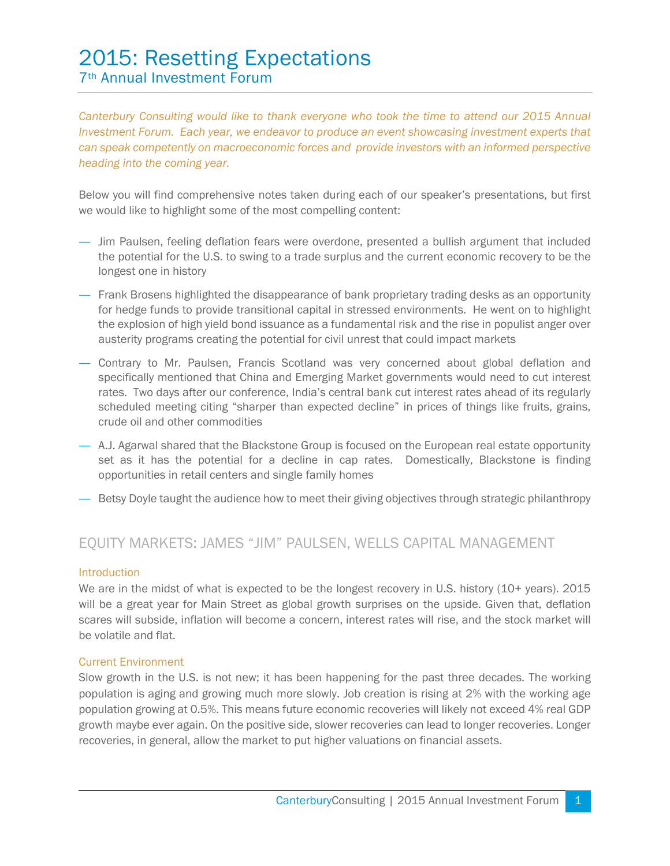# 2015: Resetting Expectations 7th Annual Investment Forum

*Canterbury Consulting would like to thank everyone who took the time to attend our 2015 Annual Investment Forum. Each year, we endeavor to produce an event showcasing investment experts that can speak competently on macroeconomic forces and provide investors with an informed perspective heading into the coming year.* 

Below you will find comprehensive notes taken during each of our speaker's presentations, but first we would like to highlight some of the most compelling content:

- ― Jim Paulsen, feeling deflation fears were overdone, presented a bullish argument that included the potential for the U.S. to swing to a trade surplus and the current economic recovery to be the longest one in history
- ― Frank Brosens highlighted the disappearance of bank proprietary trading desks as an opportunity for hedge funds to provide transitional capital in stressed environments. He went on to highlight the explosion of high yield bond issuance as a fundamental risk and the rise in populist anger over austerity programs creating the potential for civil unrest that could impact markets
- ― Contrary to Mr. Paulsen, Francis Scotland was very concerned about global deflation and specifically mentioned that China and Emerging Market governments would need to cut interest rates. Two days after our conference, India's central bank cut interest rates ahead of its regularly scheduled meeting citing "sharper than expected decline" in prices of things like fruits, grains, crude oil and other commodities
- ― A.J. Agarwal shared that the Blackstone Group is focused on the European real estate opportunity set as it has the potential for a decline in cap rates. Domestically, Blackstone is finding opportunities in retail centers and single family homes
- ― Betsy Doyle taught the audience how to meet their giving objectives through strategic philanthropy

# EQUITY MARKETS: JAMES "JIM" PAULSEN, WELLS CAPITAL MANAGEMENT

#### Introduction

We are in the midst of what is expected to be the longest recovery in U.S. history (10+ years). 2015 will be a great year for Main Street as global growth surprises on the upside. Given that, deflation scares will subside, inflation will become a concern, interest rates will rise, and the stock market will be volatile and flat.

# Current Environment

Slow growth in the U.S. is not new; it has been happening for the past three decades. The working population is aging and growing much more slowly. Job creation is rising at 2% with the working age population growing at 0.5%. This means future economic recoveries will likely not exceed 4% real GDP growth maybe ever again. On the positive side, slower recoveries can lead to longer recoveries. Longer recoveries, in general, allow the market to put higher valuations on financial assets.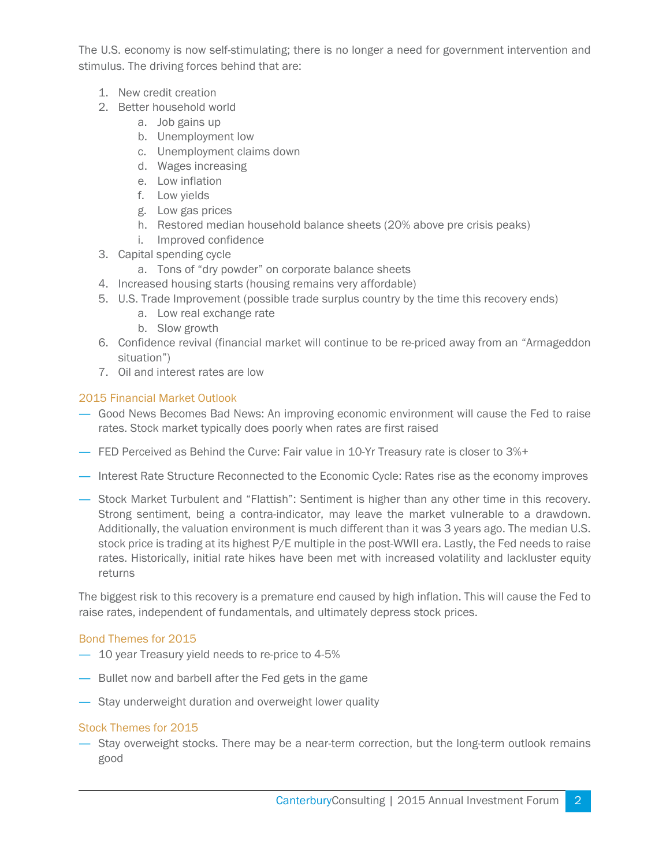The U.S. economy is now self-stimulating; there is no longer a need for government intervention and stimulus. The driving forces behind that are:

- 1. New credit creation
- 2. Better household world
	- a. Job gains up
	- b. Unemployment low
	- c. Unemployment claims down
	- d. Wages increasing
	- e. Low inflation
	- f. Low yields
	- g. Low gas prices
	- h. Restored median household balance sheets (20% above pre crisis peaks)
	- i. Improved confidence
- 3. Capital spending cycle
	- a. Tons of "dry powder" on corporate balance sheets
- 4. Increased housing starts (housing remains very affordable)
- 5. U.S. Trade Improvement (possible trade surplus country by the time this recovery ends)
	- a. Low real exchange rate
	- b. Slow growth
- 6. Confidence revival (financial market will continue to be re-priced away from an "Armageddon situation")
- 7. Oil and interest rates are low

# 2015 Financial Market Outlook

- ― Good News Becomes Bad News: An improving economic environment will cause the Fed to raise rates. Stock market typically does poorly when rates are first raised
- ― FED Perceived as Behind the Curve: Fair value in 10-Yr Treasury rate is closer to 3%+
- ― Interest Rate Structure Reconnected to the Economic Cycle: Rates rise as the economy improves
- ― Stock Market Turbulent and "Flattish": Sentiment is higher than any other time in this recovery. Strong sentiment, being a contra-indicator, may leave the market vulnerable to a drawdown. Additionally, the valuation environment is much different than it was 3 years ago. The median U.S. stock price is trading at its highest P/E multiple in the post-WWII era. Lastly, the Fed needs to raise rates. Historically, initial rate hikes have been met with increased volatility and lackluster equity returns

The biggest risk to this recovery is a premature end caused by high inflation. This will cause the Fed to raise rates, independent of fundamentals, and ultimately depress stock prices.

# Bond Themes for 2015

- ― 10 year Treasury yield needs to re-price to 4-5%
- ― Bullet now and barbell after the Fed gets in the game
- ― Stay underweight duration and overweight lower quality

# Stock Themes for 2015

― Stay overweight stocks. There may be a near-term correction, but the long-term outlook remains good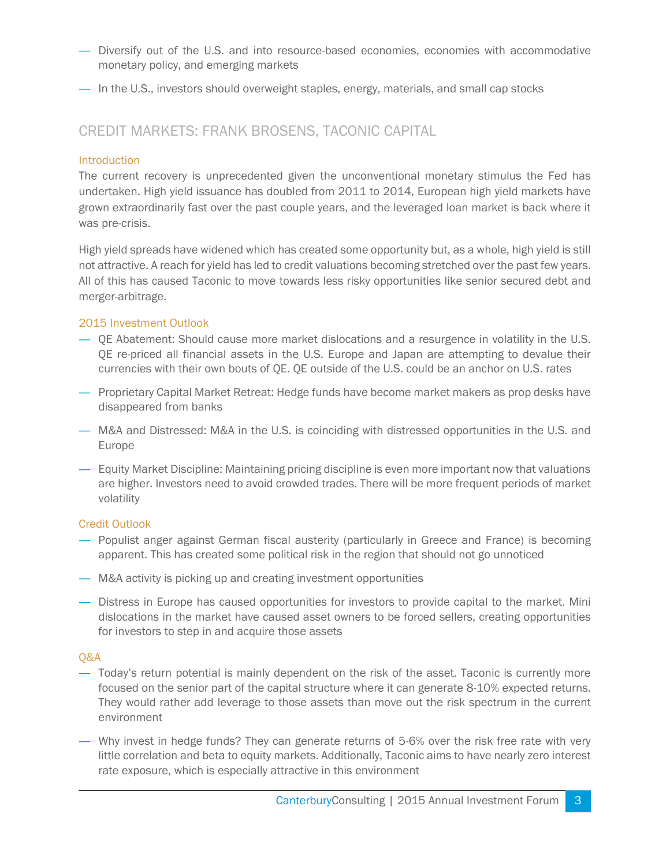- ― Diversify out of the U.S. and into resource-based economies, economies with accommodative monetary policy, and emerging markets
- ― In the U.S., investors should overweight staples, energy, materials, and small cap stocks

# CREDIT MARKETS: FRANK BROSENS, TACONIC CAPITAL

### Introduction

The current recovery is unprecedented given the unconventional monetary stimulus the Fed has undertaken. High yield issuance has doubled from 2011 to 2014, European high yield markets have grown extraordinarily fast over the past couple years, and the leveraged loan market is back where it was pre-crisis.

High yield spreads have widened which has created some opportunity but, as a whole, high yield is still not attractive. A reach for yield has led to credit valuations becoming stretched over the past few years. All of this has caused Taconic to move towards less risky opportunities like senior secured debt and merger-arbitrage.

#### 2015 Investment Outlook

- ― QE Abatement: Should cause more market dislocations and a resurgence in volatility in the U.S. QE re-priced all financial assets in the U.S. Europe and Japan are attempting to devalue their currencies with their own bouts of QE. QE outside of the U.S. could be an anchor on U.S. rates
- ― Proprietary Capital Market Retreat: Hedge funds have become market makers as prop desks have disappeared from banks
- ― M&A and Distressed: M&A in the U.S. is coinciding with distressed opportunities in the U.S. and Europe
- ― Equity Market Discipline: Maintaining pricing discipline is even more important now that valuations are higher. Investors need to avoid crowded trades. There will be more frequent periods of market volatility

#### Credit Outlook

- ― Populist anger against German fiscal austerity (particularly in Greece and France) is becoming apparent. This has created some political risk in the region that should not go unnoticed
- ― M&A activity is picking up and creating investment opportunities
- ― Distress in Europe has caused opportunities for investors to provide capital to the market. Mini dislocations in the market have caused asset owners to be forced sellers, creating opportunities for investors to step in and acquire those assets

#### Q&A

- ― Today's return potential is mainly dependent on the risk of the asset. Taconic is currently more focused on the senior part of the capital structure where it can generate 8-10% expected returns. They would rather add leverage to those assets than move out the risk spectrum in the current environment
- ― Why invest in hedge funds? They can generate returns of 5-6% over the risk free rate with very little correlation and beta to equity markets. Additionally, Taconic aims to have nearly zero interest rate exposure, which is especially attractive in this environment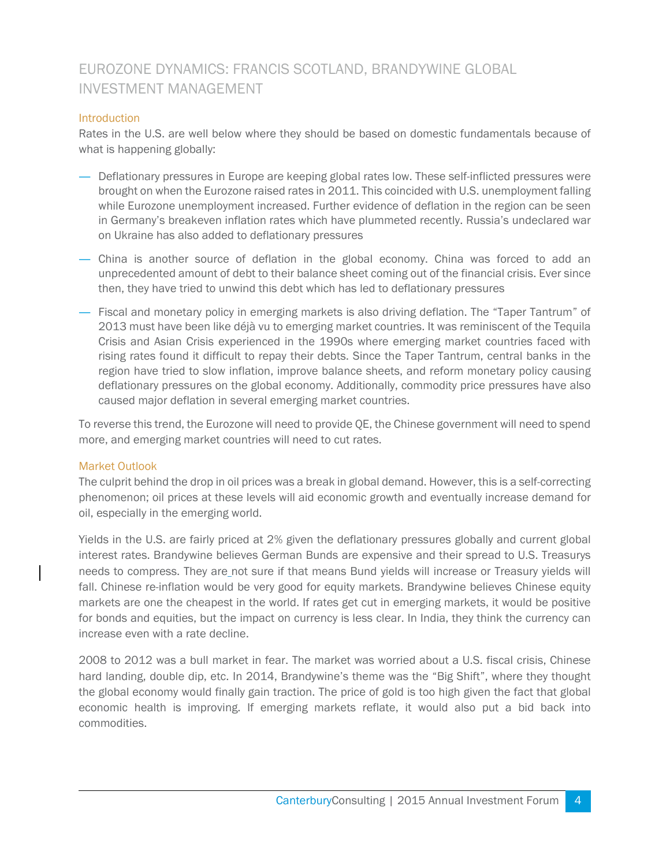# EUROZONE DYNAMICS: FRANCIS SCOTLAND, BRANDYWINE GLOBAL INVESTMENT MANAGEMENT

### **Introduction**

Rates in the U.S. are well below where they should be based on domestic fundamentals because of what is happening globally:

- ― Deflationary pressures in Europe are keeping global rates low. These self-inflicted pressures were brought on when the Eurozone raised rates in 2011. This coincided with U.S. unemployment falling while Eurozone unemployment increased. Further evidence of deflation in the region can be seen in Germany's breakeven inflation rates which have plummeted recently. Russia's undeclared war on Ukraine has also added to deflationary pressures
- ― China is another source of deflation in the global economy. China was forced to add an unprecedented amount of debt to their balance sheet coming out of the financial crisis. Ever since then, they have tried to unwind this debt which has led to deflationary pressures
- ― Fiscal and monetary policy in emerging markets is also driving deflation. The "Taper Tantrum" of 2013 must have been like déjà vu to emerging market countries. It was reminiscent of the Tequila Crisis and Asian Crisis experienced in the 1990s where emerging market countries faced with rising rates found it difficult to repay their debts. Since the Taper Tantrum, central banks in the region have tried to slow inflation, improve balance sheets, and reform monetary policy causing deflationary pressures on the global economy. Additionally, commodity price pressures have also caused major deflation in several emerging market countries.

To reverse this trend, the Eurozone will need to provide QE, the Chinese government will need to spend more, and emerging market countries will need to cut rates.

#### Market Outlook

The culprit behind the drop in oil prices was a break in global demand. However, this is a self-correcting phenomenon; oil prices at these levels will aid economic growth and eventually increase demand for oil, especially in the emerging world.

Yields in the U.S. are fairly priced at 2% given the deflationary pressures globally and current global interest rates. Brandywine believes German Bunds are expensive and their spread to U.S. Treasurys needs to compress. They are not sure if that means Bund yields will increase or Treasury yields will fall. Chinese re-inflation would be very good for equity markets. Brandywine believes Chinese equity markets are one the cheapest in the world. If rates get cut in emerging markets, it would be positive for bonds and equities, but the impact on currency is less clear. In India, they think the currency can increase even with a rate decline.

2008 to 2012 was a bull market in fear. The market was worried about a U.S. fiscal crisis, Chinese hard landing, double dip, etc. In 2014, Brandywine's theme was the "Big Shift", where they thought the global economy would finally gain traction. The price of gold is too high given the fact that global economic health is improving. If emerging markets reflate, it would also put a bid back into commodities.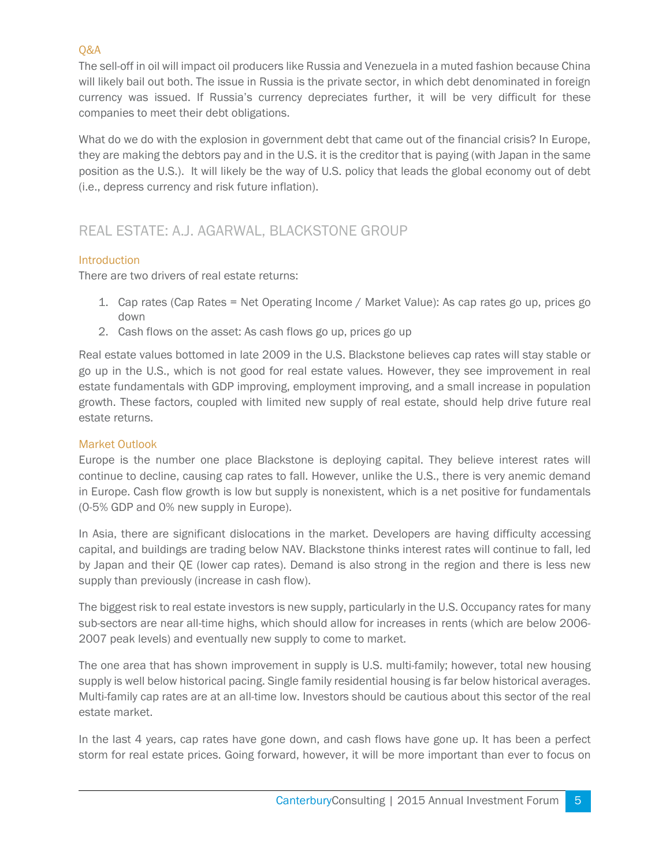# Q&A

The sell-off in oil will impact oil producers like Russia and Venezuela in a muted fashion because China will likely bail out both. The issue in Russia is the private sector, in which debt denominated in foreign currency was issued. If Russia's currency depreciates further, it will be very difficult for these companies to meet their debt obligations.

What do we do with the explosion in government debt that came out of the financial crisis? In Europe, they are making the debtors pay and in the U.S. it is the creditor that is paying (with Japan in the same position as the U.S.). It will likely be the way of U.S. policy that leads the global economy out of debt (i.e., depress currency and risk future inflation).

# REAL ESTATE: A.J. AGARWAL, BLACKSTONE GROUP

# Introduction

There are two drivers of real estate returns:

- 1. Cap rates (Cap Rates = Net Operating Income / Market Value): As cap rates go up, prices go down
- 2. Cash flows on the asset: As cash flows go up, prices go up

Real estate values bottomed in late 2009 in the U.S. Blackstone believes cap rates will stay stable or go up in the U.S., which is not good for real estate values. However, they see improvement in real estate fundamentals with GDP improving, employment improving, and a small increase in population growth. These factors, coupled with limited new supply of real estate, should help drive future real estate returns.

# Market Outlook

Europe is the number one place Blackstone is deploying capital. They believe interest rates will continue to decline, causing cap rates to fall. However, unlike the U.S., there is very anemic demand in Europe. Cash flow growth is low but supply is nonexistent, which is a net positive for fundamentals (0-5% GDP and 0% new supply in Europe).

In Asia, there are significant dislocations in the market. Developers are having difficulty accessing capital, and buildings are trading below NAV. Blackstone thinks interest rates will continue to fall, led by Japan and their QE (lower cap rates). Demand is also strong in the region and there is less new supply than previously (increase in cash flow).

The biggest risk to real estate investors is new supply, particularly in the U.S. Occupancy rates for many sub-sectors are near all-time highs, which should allow for increases in rents (which are below 2006- 2007 peak levels) and eventually new supply to come to market.

The one area that has shown improvement in supply is U.S. multi-family; however, total new housing supply is well below historical pacing. Single family residential housing is far below historical averages. Multi-family cap rates are at an all-time low. Investors should be cautious about this sector of the real estate market.

In the last 4 years, cap rates have gone down, and cash flows have gone up. It has been a perfect storm for real estate prices. Going forward, however, it will be more important than ever to focus on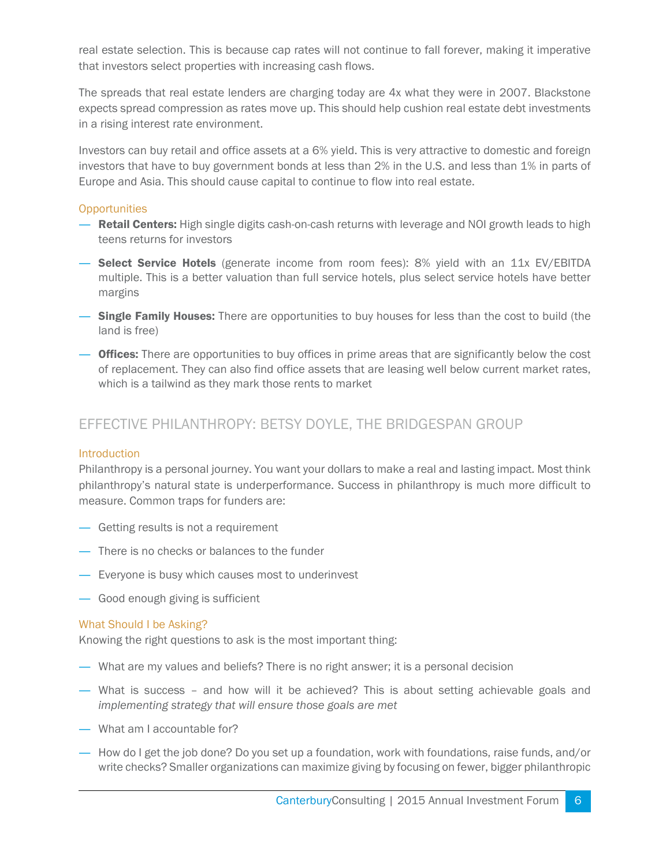real estate selection. This is because cap rates will not continue to fall forever, making it imperative that investors select properties with increasing cash flows.

The spreads that real estate lenders are charging today are 4x what they were in 2007. Blackstone expects spread compression as rates move up. This should help cushion real estate debt investments in a rising interest rate environment.

Investors can buy retail and office assets at a 6% yield. This is very attractive to domestic and foreign investors that have to buy government bonds at less than 2% in the U.S. and less than 1% in parts of Europe and Asia. This should cause capital to continue to flow into real estate.

# **Opportunities**

- **Retail Centers:** High single digits cash-on-cash returns with leverage and NOI growth leads to high teens returns for investors
- ― Select Service Hotels (generate income from room fees): 8% yield with an 11x EV/EBITDA multiple. This is a better valuation than full service hotels, plus select service hotels have better margins
- **Single Family Houses:** There are opportunities to buy houses for less than the cost to build (the land is free)
- ― Offices: There are opportunities to buy offices in prime areas that are significantly below the cost of replacement. They can also find office assets that are leasing well below current market rates, which is a tailwind as they mark those rents to market

# EFFECTIVE PHILANTHROPY: BETSY DOYLE, THE BRIDGESPAN GROUP

#### **Introduction**

Philanthropy is a personal journey. You want your dollars to make a real and lasting impact. Most think philanthropy's natural state is underperformance. Success in philanthropy is much more difficult to measure. Common traps for funders are:

- ― Getting results is not a requirement
- ― There is no checks or balances to the funder
- ― Everyone is busy which causes most to underinvest
- ― Good enough giving is sufficient

#### What Should I be Asking?

Knowing the right questions to ask is the most important thing:

- ― What are my values and beliefs? There is no right answer; it is a personal decision
- ― What is success and how will it be achieved? This is about setting achievable goals and *implementing strategy that will ensure those goals are met*
- ― What am I accountable for?
- ― How do I get the job done? Do you set up a foundation, work with foundations, raise funds, and/or write checks? Smaller organizations can maximize giving by focusing on fewer, bigger philanthropic